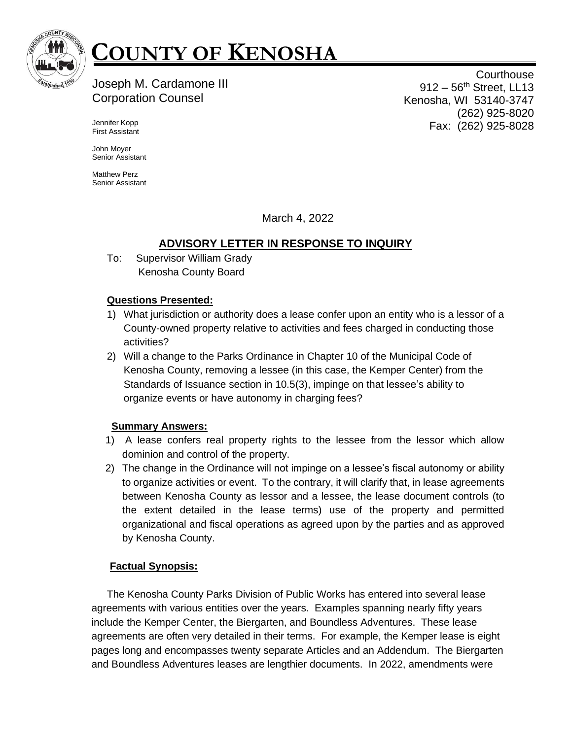

# **COUNTY OF KENOSHA**

# Joseph M. Cardamone III Corporation Counsel

**Courthouse** 912 – 56<sup>th</sup> Street, LL13 Kenosha, WI 53140-3747 (262) 925-8020 Fax: (262) 925-8028

Jennifer Kopp First Assistant

John Moyer Senior Assistant

Matthew Perz Senior Assistant

March 4, 2022

## **ADVISORY LETTER IN RESPONSE TO INQUIRY**

To: Supervisor William Grady Kenosha County Board

## **Questions Presented:**

- 1) What jurisdiction or authority does a lease confer upon an entity who is a lessor of a County-owned property relative to activities and fees charged in conducting those activities?
- 2) Will a change to the Parks Ordinance in Chapter 10 of the Municipal Code of Kenosha County, removing a lessee (in this case, the Kemper Center) from the Standards of Issuance section in 10.5(3), impinge on that lessee's ability to organize events or have autonomy in charging fees?

## **Summary Answers:**

- 1) A lease confers real property rights to the lessee from the lessor which allow dominion and control of the property.
- 2) The change in the Ordinance will not impinge on a lessee's fiscal autonomy or ability to organize activities or event. To the contrary, it will clarify that, in lease agreements between Kenosha County as lessor and a lessee, the lease document controls (to the extent detailed in the lease terms) use of the property and permitted organizational and fiscal operations as agreed upon by the parties and as approved by Kenosha County.

## **Factual Synopsis:**

The Kenosha County Parks Division of Public Works has entered into several lease agreements with various entities over the years. Examples spanning nearly fifty years include the Kemper Center, the Biergarten, and Boundless Adventures. These lease agreements are often very detailed in their terms. For example, the Kemper lease is eight pages long and encompasses twenty separate Articles and an Addendum. The Biergarten and Boundless Adventures leases are lengthier documents. In 2022, amendments were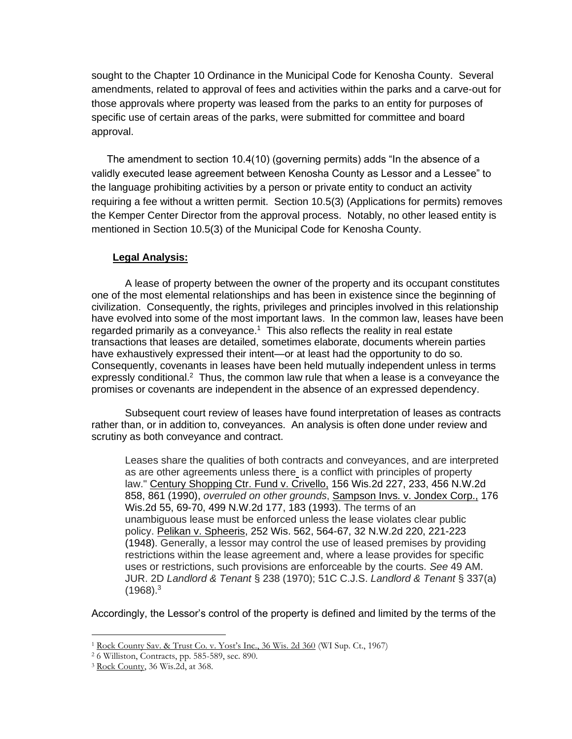sought to the Chapter 10 Ordinance in the Municipal Code for Kenosha County. Several amendments, related to approval of fees and activities within the parks and a carve-out for those approvals where property was leased from the parks to an entity for purposes of specific use of certain areas of the parks, were submitted for committee and board approval.

The amendment to section 10.4(10) (governing permits) adds "In the absence of a validly executed lease agreement between Kenosha County as Lessor and a Lessee" to the language prohibiting activities by a person or private entity to conduct an activity requiring a fee without a written permit. Section 10.5(3) (Applications for permits) removes the Kemper Center Director from the approval process. Notably, no other leased entity is mentioned in Section 10.5(3) of the Municipal Code for Kenosha County.

#### **Legal Analysis:**

A lease of property between the owner of the property and its occupant constitutes one of the most elemental relationships and has been in existence since the beginning of civilization. Consequently, the rights, privileges and principles involved in this relationship have evolved into some of the most important laws. In the common law, leases have been regarded primarily as a conveyance.<sup>1</sup> This also reflects the reality in real estate transactions that leases are detailed, sometimes elaborate, documents wherein parties have exhaustively expressed their intent—or at least had the opportunity to do so. Consequently, covenants in leases have been held mutually independent unless in terms expressly conditional.<sup>2</sup> Thus, the common law rule that when a lease is a conveyance the promises or covenants are independent in the absence of an expressed dependency.

Subsequent court review of leases have found interpretation of leases as contracts rather than, or in addition to, conveyances. An analysis is often done under review and scrutiny as both conveyance and contract.

Leases share the qualities of both contracts and conveyances, and are interpreted as are other agreements unless ther[e](https://advance.lexis.com/document/?pdmfid=1000516&crid=0cda0ba4-d4fa-4b48-9157-92f8a1e4c6bd&pddocfullpath=%2Fshared%2Fdocument%2Fcases%2Furn%3AcontentItem%3A3S3J-XNW0-003G-353S-00000-00&pdcontentcomponentid=10984&pdshepid=urn%3AcontentItem%3A7XXJ-YM61-2NSD-S4HW-00000-00&pdteaserkey=sr10&pditab=allpods&ecomp=xzgpk&earg=sr10&prid=0c74925b-f16b-4ac7-b225-1329f6491529) is a conflict with principles of property law." Century [Shopping](https://advance.lexis.com/document/?pdmfid=1000516&crid=0cda0ba4-d4fa-4b48-9157-92f8a1e4c6bd&pddocfullpath=%2Fshared%2Fdocument%2Fcases%2Furn%3AcontentItem%3A3S3J-XNW0-003G-353S-00000-00&pdcontentcomponentid=10984&pdshepid=urn%3AcontentItem%3A7XXJ-YM61-2NSD-S4HW-00000-00&pdteaserkey=sr10&pditab=allpods&ecomp=xzgpk&earg=sr10&prid=0c74925b-f16b-4ac7-b225-1329f6491529) Ctr. Fund v. Crivello, 156 Wis.2d 227, 233, 456 N.W.2d 858, 861 [\(1990\),](https://advance.lexis.com/document/?pdmfid=1000516&crid=0cda0ba4-d4fa-4b48-9157-92f8a1e4c6bd&pddocfullpath=%2Fshared%2Fdocument%2Fcases%2Furn%3AcontentItem%3A3S3J-XNW0-003G-353S-00000-00&pdcontentcomponentid=10984&pdshepid=urn%3AcontentItem%3A7XXJ-YM61-2NSD-S4HW-00000-00&pdteaserkey=sr10&pditab=allpods&ecomp=xzgpk&earg=sr10&prid=0c74925b-f16b-4ac7-b225-1329f6491529) *overruled on other grounds*, [Sampson](https://advance.lexis.com/document/?pdmfid=1000516&crid=0cda0ba4-d4fa-4b48-9157-92f8a1e4c6bd&pddocfullpath=%2Fshared%2Fdocument%2Fcases%2Furn%3AcontentItem%3A3S3J-XNW0-003G-353S-00000-00&pdcontentcomponentid=10984&pdshepid=urn%3AcontentItem%3A7XXJ-YM61-2NSD-S4HW-00000-00&pdteaserkey=sr10&pditab=allpods&ecomp=xzgpk&earg=sr10&prid=0c74925b-f16b-4ac7-b225-1329f6491529) Invs. v. Jondex Corp., 176 Wis.2d 55, 69-70, 499 [N.W.2d](https://advance.lexis.com/document/?pdmfid=1000516&crid=0cda0ba4-d4fa-4b48-9157-92f8a1e4c6bd&pddocfullpath=%2Fshared%2Fdocument%2Fcases%2Furn%3AcontentItem%3A3S3J-XNW0-003G-353S-00000-00&pdcontentcomponentid=10984&pdshepid=urn%3AcontentItem%3A7XXJ-YM61-2NSD-S4HW-00000-00&pdteaserkey=sr10&pditab=allpods&ecomp=xzgpk&earg=sr10&prid=0c74925b-f16b-4ac7-b225-1329f6491529) 177, 183 (1993). The terms of an unambiguous lease must be enforced unless the lease violates clear public policy. Pelikan v. [Spheeris,](https://advance.lexis.com/document/?pdmfid=1000516&crid=0cda0ba4-d4fa-4b48-9157-92f8a1e4c6bd&pddocfullpath=%2Fshared%2Fdocument%2Fcases%2Furn%3AcontentItem%3A3S3J-XNW0-003G-353S-00000-00&pdcontentcomponentid=10984&pdshepid=urn%3AcontentItem%3A7XXJ-YM61-2NSD-S4HW-00000-00&pdteaserkey=sr10&pditab=allpods&ecomp=xzgpk&earg=sr10&prid=0c74925b-f16b-4ac7-b225-1329f6491529) 252 Wis. 562, 564-67, 32 N.W.2d 220, 221-223 [\(1948\).](https://advance.lexis.com/document/?pdmfid=1000516&crid=0cda0ba4-d4fa-4b48-9157-92f8a1e4c6bd&pddocfullpath=%2Fshared%2Fdocument%2Fcases%2Furn%3AcontentItem%3A3S3J-XNW0-003G-353S-00000-00&pdcontentcomponentid=10984&pdshepid=urn%3AcontentItem%3A7XXJ-YM61-2NSD-S4HW-00000-00&pdteaserkey=sr10&pditab=allpods&ecomp=xzgpk&earg=sr10&prid=0c74925b-f16b-4ac7-b225-1329f6491529) Generally, a lessor may control the use of leased premises by providing restrictions within the lease agreement and, where a lease provides for specific uses or restrictions, such provisions are enforceable by the courts. *See* 49 AM. JUR. 2D *Landlord & Tenant* § 238 (1970); 51C C.J.S. *Landlord & Tenant* § 337(a)  $(1968).<sup>3</sup>$ 

Accordingly, the Lessor's control of the property is defined and limited by the terms of the

<sup>1</sup> Rock County Sav. & Trust Co. v. Yost's Inc., 36 Wis. 2d 360 (WI Sup. Ct., 1967)

<sup>2</sup> 6 Williston, Contracts, pp. 585-589, sec. 890.

<sup>3</sup> Rock County, 36 Wis.2d, at 368.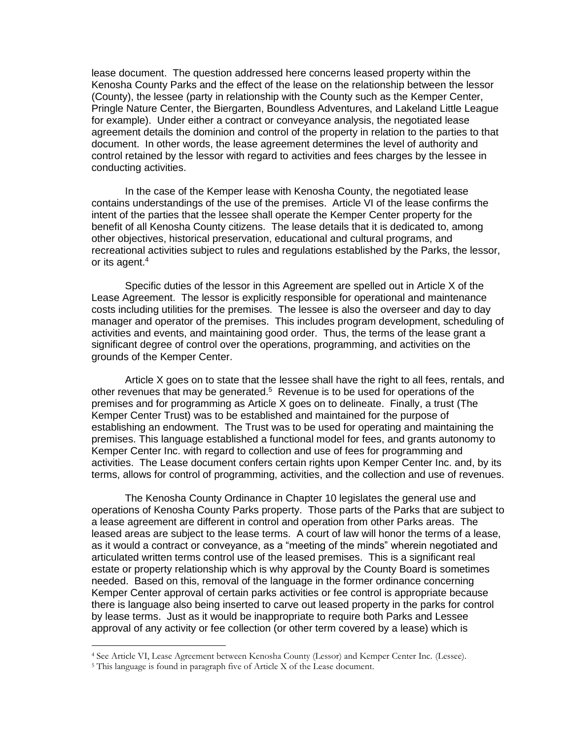lease document. The question addressed here concerns leased property within the Kenosha County Parks and the effect of the lease on the relationship between the lessor (County), the lessee (party in relationship with the County such as the Kemper Center, Pringle Nature Center, the Biergarten, Boundless Adventures, and Lakeland Little League for example). Under either a contract or conveyance analysis, the negotiated lease agreement details the dominion and control of the property in relation to the parties to that document. In other words, the lease agreement determines the level of authority and control retained by the lessor with regard to activities and fees charges by the lessee in conducting activities.

In the case of the Kemper lease with Kenosha County, the negotiated lease contains understandings of the use of the premises. Article VI of the lease confirms the intent of the parties that the lessee shall operate the Kemper Center property for the benefit of all Kenosha County citizens. The lease details that it is dedicated to, among other objectives, historical preservation, educational and cultural programs, and recreational activities subject to rules and regulations established by the Parks, the lessor, or its agent.<sup>4</sup>

Specific duties of the lessor in this Agreement are spelled out in Article X of the Lease Agreement. The lessor is explicitly responsible for operational and maintenance costs including utilities for the premises. The lessee is also the overseer and day to day manager and operator of the premises. This includes program development, scheduling of activities and events, and maintaining good order. Thus, the terms of the lease grant a significant degree of control over the operations, programming, and activities on the grounds of the Kemper Center.

Article X goes on to state that the lessee shall have the right to all fees, rentals, and other revenues that may be generated.<sup>5</sup> Revenue is to be used for operations of the premises and for programming as Article X goes on to delineate. Finally, a trust (The Kemper Center Trust) was to be established and maintained for the purpose of establishing an endowment. The Trust was to be used for operating and maintaining the premises. This language established a functional model for fees, and grants autonomy to Kemper Center Inc. with regard to collection and use of fees for programming and activities. The Lease document confers certain rights upon Kemper Center Inc. and, by its terms, allows for control of programming, activities, and the collection and use of revenues.

The Kenosha County Ordinance in Chapter 10 legislates the general use and operations of Kenosha County Parks property. Those parts of the Parks that are subject to a lease agreement are different in control and operation from other Parks areas. The leased areas are subject to the lease terms. A court of law will honor the terms of a lease, as it would a contract or conveyance, as a "meeting of the minds" wherein negotiated and articulated written terms control use of the leased premises. This is a significant real estate or property relationship which is why approval by the County Board is sometimes needed. Based on this, removal of the language in the former ordinance concerning Kemper Center approval of certain parks activities or fee control is appropriate because there is language also being inserted to carve out leased property in the parks for control by lease terms. Just as it would be inappropriate to require both Parks and Lessee approval of any activity or fee collection (or other term covered by a lease) which is

<sup>4</sup> See Article VI, Lease Agreement between Kenosha County (Lessor) and Kemper Center Inc. (Lessee).

<sup>5</sup> This language is found in paragraph five of Article X of the Lease document.